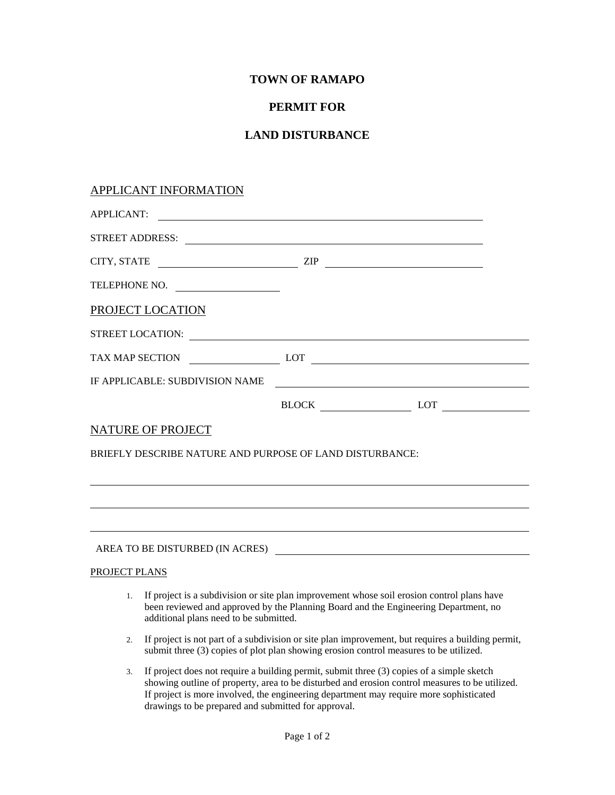# **TOWN OF RAMAPO**

# **PERMIT FOR**

# **LAND DISTURBANCE**

### APPLICANT INFORMATION

| <b>APPLICANT:</b>                                        |                                                                                                                      |  |
|----------------------------------------------------------|----------------------------------------------------------------------------------------------------------------------|--|
|                                                          |                                                                                                                      |  |
|                                                          | $CITY, STATE$ $ZIP$                                                                                                  |  |
|                                                          |                                                                                                                      |  |
| PROJECT LOCATION                                         |                                                                                                                      |  |
|                                                          |                                                                                                                      |  |
|                                                          | TAX MAP SECTION LOT                                                                                                  |  |
| IF APPLICABLE: SUBDIVISION NAME                          | <u> 1980 - Jan Samuel Barbara, martin di sebagai personal di sebagai personal di sebagai personal di sebagai per</u> |  |
|                                                          | BLOCK LOT                                                                                                            |  |
| NATURE OF PROJECT                                        |                                                                                                                      |  |
| BRIEFLY DESCRIBE NATURE AND PURPOSE OF LAND DISTURBANCE: |                                                                                                                      |  |
|                                                          | ,我们也不会有什么。""我们的人,我们也不会有什么?""我们的人,我们也不会有什么?""我们的人,我们也不会有什么?""我们的人,我们也不会有什么?""我们的人                                     |  |
|                                                          |                                                                                                                      |  |
|                                                          |                                                                                                                      |  |

AREA TO BE DISTURBED (IN ACRES)

#### PROJECT PLANS

- 1. If project is a subdivision or site plan improvement whose soil erosion control plans have been reviewed and approved by the Planning Board and the Engineering Department, no additional plans need to be submitted.
- 2. If project is not part of a subdivision or site plan improvement, but requires a building permit, submit three (3) copies of plot plan showing erosion control measures to be utilized.
- 3. If project does not require a building permit, submit three (3) copies of a simple sketch showing outline of property, area to be disturbed and erosion control measures to be utilized. If project is more involved, the engineering department may require more sophisticated drawings to be prepared and submitted for approval.